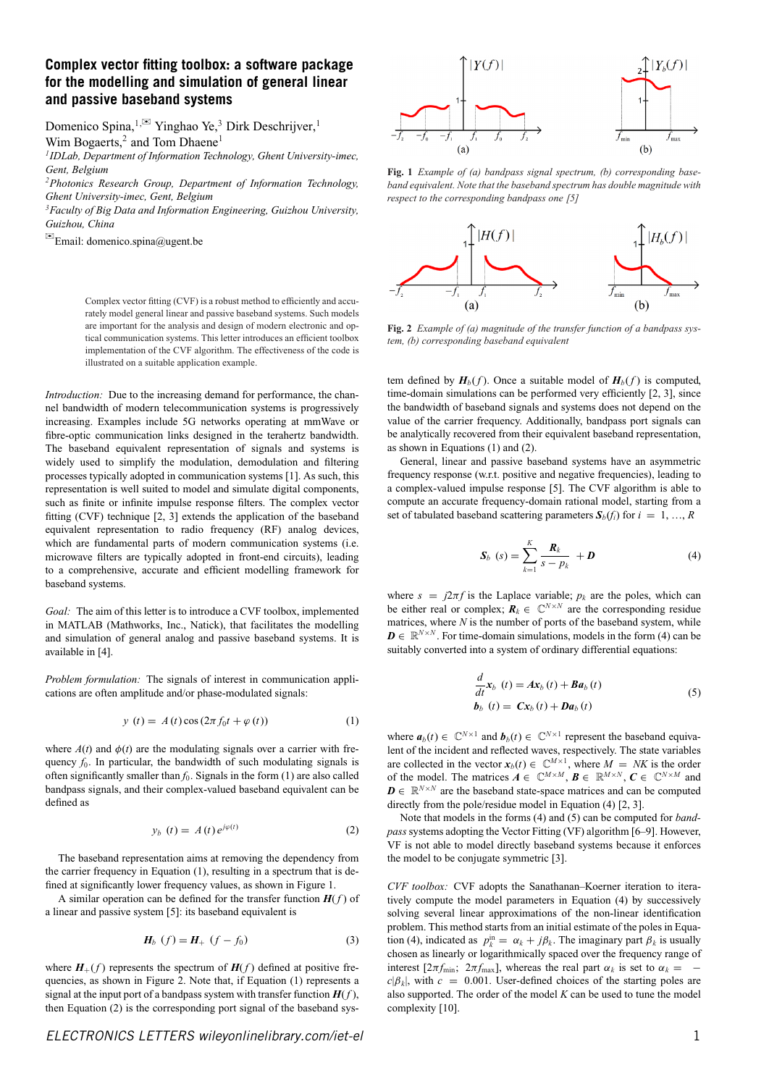## **Complex vector fitting toolbox: a software package for the modelling and simulation of general linear and passive baseband systems**

Domenico Spina,<sup>1,⊠</sup> Yinghao Ye,<sup>3</sup> Dirk Deschrijver,<sup>1</sup> Wim Bogaerts, $2$  and Tom Dhaene<sup>1</sup>

*1IDLab, Department of Information Technology, Ghent University-imec, Gent, Belgium*

*2Photonics Research Group, Department of Information Technology, Ghent University-imec, Gent, Belgium*

*3Faculty of Big Data and Information Engineering, Guizhou University, Guizhou, China*

 $\Xi$ Email: domenico.spina@ugent.be

Complex vector fitting (CVF) is a robust method to efficiently and accurately model general linear and passive baseband systems. Such models are important for the analysis and design of modern electronic and optical communication systems. This letter introduces an efficient toolbox implementation of the CVF algorithm. The effectiveness of the code is illustrated on a suitable application example.

*Introduction:* Due to the increasing demand for performance, the channel bandwidth of modern telecommunication systems is progressively increasing. Examples include 5G networks operating at mmWave or fibre-optic communication links designed in the terahertz bandwidth. The baseband equivalent representation of signals and systems is widely used to simplify the modulation, demodulation and filtering processes typically adopted in communication systems [1]. As such, this representation is well suited to model and simulate digital components, such as finite or infinite impulse response filters. The complex vector fitting (CVF) technique [2, 3] extends the application of the baseband equivalent representation to radio frequency (RF) analog devices, which are fundamental parts of modern communication systems (i.e. microwave filters are typically adopted in front-end circuits), leading to a comprehensive, accurate and efficient modelling framework for baseband systems.

*Goal:* The aim of this letter is to introduce a CVF toolbox, implemented in MATLAB (Mathworks, Inc., Natick), that facilitates the modelling and simulation of general analog and passive baseband systems. It is available in [4].

*Problem formulation:* The signals of interest in communication applications are often amplitude and/or phase-modulated signals:

$$
y(t) = A(t)\cos(2\pi f_0 t + \varphi(t))
$$
\n(1)

where  $A(t)$  and  $\phi(t)$  are the modulating signals over a carrier with frequency  $f_0$ . In particular, the bandwidth of such modulating signals is often significantly smaller than  $f_0$ . Signals in the form  $(1)$  are also called bandpass signals, and their complex-valued baseband equivalent can be defined as

$$
y_b(t) = A(t)e^{j\varphi(t)}
$$
 (2)

The baseband representation aims at removing the dependency from the carrier frequency in Equation (1), resulting in a spectrum that is defined at significantly lower frequency values, as shown in Figure 1.

A similar operation can be defined for the transfer function  $H(f)$  of a linear and passive system [5]: its baseband equivalent is

$$
H_b(f) = H_+ (f - f_0)
$$
 (3)

where  $H_+(f)$  represents the spectrum of  $H(f)$  defined at positive frequencies, as shown in Figure 2. Note that, if Equation (1) represents a signal at the input port of a bandpass system with transfer function  $H(f)$ , then Equation (2) is the corresponding port signal of the baseband sys-



**Fig. 1** *Example of (a) bandpass signal spectrum, (b) corresponding baseband equivalent. Note that the baseband spectrum has double magnitude with respect to the corresponding bandpass one [5]*



**Fig. 2** *Example of (a) magnitude of the transfer function of a bandpass system, (b) corresponding baseband equivalent*

tem defined by  $H_b(f)$ . Once a suitable model of  $H_b(f)$  is computed, time-domain simulations can be performed very efficiently [2, 3], since the bandwidth of baseband signals and systems does not depend on the value of the carrier frequency. Additionally, bandpass port signals can be analytically recovered from their equivalent baseband representation, as shown in Equations (1) and (2).

General, linear and passive baseband systems have an asymmetric frequency response (w.r.t. positive and negative frequencies), leading to a complex-valued impulse response [5]. The CVF algorithm is able to compute an accurate frequency-domain rational model, starting from a set of tabulated baseband scattering parameters  $S_b(f_i)$  for  $i = 1, ..., R$ 

$$
\mathbf{S}_b \ (s) = \sum_{k=1}^K \frac{\mathbf{R}_k}{s - p_k} + \mathbf{D} \tag{4}
$$

where  $s = j2\pi f$  is the Laplace variable;  $p_k$  are the poles, which can be either real or complex;  $\mathbf{R}_k \in \mathbb{C}^{N \times N}$  are the corresponding residue matrices, where *N* is the number of ports of the baseband system, while  $\mathbf{D} \in \mathbb{R}^{N \times N}$ . For time-domain simulations, models in the form (4) can be suitably converted into a system of ordinary differential equations:

$$
\frac{d}{dt}\mathbf{x}_{b}(t) = A\mathbf{x}_{b}(t) + B\mathbf{a}_{b}(t)
$$
\n
$$
\mathbf{b}_{b}(t) = C\mathbf{x}_{b}(t) + D\mathbf{a}_{b}(t)
$$
\n(5)

where  $a_b(t) \in \mathbb{C}^{N \times 1}$  and  $b_b(t) \in \mathbb{C}^{N \times 1}$  represent the baseband equivalent of the incident and reflected waves, respectively. The state variables are collected in the vector  $x_b(t) \in \mathbb{C}^{M \times 1}$ , where  $M = NK$  is the order of the model. The matrices  $\mathbf{A} \in \mathbb{C}^{M \times M}$ ,  $\mathbf{B} \in \mathbb{R}^{M \times N}$ ,  $\mathbf{C} \in \mathbb{C}^{N \times M}$  and  $\mathbf{D} \in \mathbb{R}^{N \times N}$  are the baseband state-space matrices and can be computed directly from the pole/residue model in Equation (4) [2, 3].

Note that models in the forms (4) and (5) can be computed for *bandpass* systems adopting the Vector Fitting (VF) algorithm [6–9]. However, VF is not able to model directly baseband systems because it enforces the model to be conjugate symmetric [3].

*CVF toolbox:* CVF adopts the Sanathanan–Koerner iteration to iteratively compute the model parameters in Equation (4) by successively solving several linear approximations of the non-linear identification problem. This method starts from an initial estimate of the poles in Equation (4), indicated as  $p_k^{\text{in}} = \alpha_k + j\beta_k$ . The imaginary part  $\beta_k$  is usually chosen as linearly or logarithmically spaced over the frequency range of interest [ $2\pi f_{\text{min}}$ ;  $2\pi f_{\text{max}}$ ], whereas the real part  $\alpha_k$  is set to  $\alpha_k =$  $c|\beta_k|$ , with  $c = 0.001$ . User-defined choices of the starting poles are also supported. The order of the model *K* can be used to tune the model complexity [10].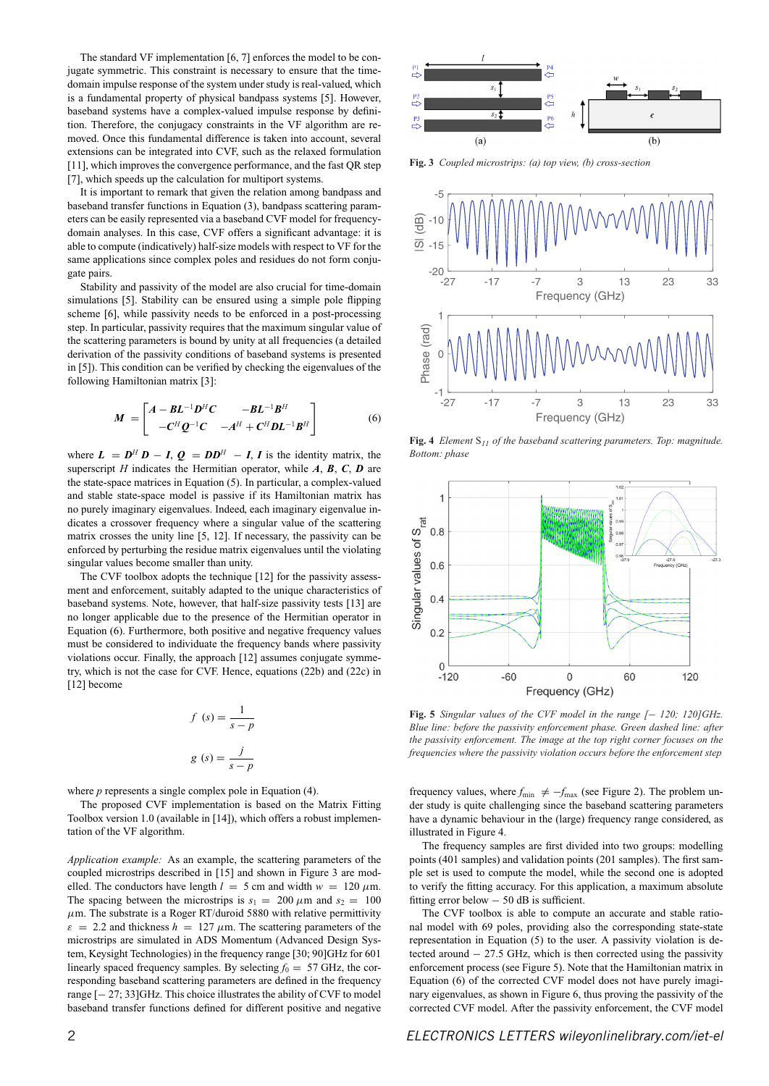The standard VF implementation [6, 7] enforces the model to be conjugate symmetric. This constraint is necessary to ensure that the timedomain impulse response of the system under study is real-valued, which is a fundamental property of physical bandpass systems [5]. However, baseband systems have a complex-valued impulse response by definition. Therefore, the conjugacy constraints in the VF algorithm are removed. Once this fundamental difference is taken into account, several extensions can be integrated into CVF, such as the relaxed formulation [11], which improves the convergence performance, and the fast QR step [7], which speeds up the calculation for multiport systems.

It is important to remark that given the relation among bandpass and baseband transfer functions in Equation (3), bandpass scattering parameters can be easily represented via a baseband CVF model for frequencydomain analyses. In this case, CVF offers a significant advantage: it is able to compute (indicatively) half-size models with respect to VF for the same applications since complex poles and residues do not form conjugate pairs.

Stability and passivity of the model are also crucial for time-domain simulations [5]. Stability can be ensured using a simple pole flipping scheme [6], while passivity needs to be enforced in a post-processing step. In particular, passivity requires that the maximum singular value of the scattering parameters is bound by unity at all frequencies (a detailed derivation of the passivity conditions of baseband systems is presented in [5]). This condition can be verified by checking the eigenvalues of the following Hamiltonian matrix [3]:

$$
M = \begin{bmatrix} A - BL^{-1}D^HC & -BL^{-1}B^H \\ -C^HQ^{-1}C & -A^H + C^HDL^{-1}B^H \end{bmatrix}
$$
 (6)

where  $L = D^H D - I$ ,  $Q = DD^H - I$ , *I* is the identity matrix, the superscript *H* indicates the Hermitian operator, while  $A$ ,  $B$ ,  $C$ ,  $D$  are the state-space matrices in Equation (5). In particular, a complex-valued and stable state-space model is passive if its Hamiltonian matrix has no purely imaginary eigenvalues. Indeed, each imaginary eigenvalue indicates a crossover frequency where a singular value of the scattering matrix crosses the unity line [5, 12]. If necessary, the passivity can be enforced by perturbing the residue matrix eigenvalues until the violating singular values become smaller than unity.

The CVF toolbox adopts the technique [12] for the passivity assessment and enforcement, suitably adapted to the unique characteristics of baseband systems. Note, however, that half-size passivity tests [13] are no longer applicable due to the presence of the Hermitian operator in Equation (6). Furthermore, both positive and negative frequency values must be considered to individuate the frequency bands where passivity violations occur. Finally, the approach [12] assumes conjugate symmetry, which is not the case for CVF. Hence, equations (22b) and (22c) in [12] become

$$
f(s) = \frac{1}{s - p}
$$

$$
g(s) = \frac{j}{s - p}
$$

where *p* represents a single complex pole in Equation (4).

The proposed CVF implementation is based on the Matrix Fitting Toolbox version 1.0 (available in [14]), which offers a robust implementation of the VF algorithm.

*Application example:* As an example, the scattering parameters of the coupled microstrips described in [15] and shown in Figure 3 are modelled. The conductors have length  $l = 5$  cm and width  $w = 120 \mu m$ . The spacing between the microstrips is  $s_1 = 200 \mu m$  and  $s_2 = 100$  $\mu$ m. The substrate is a Roger RT/duroid 5880 with relative permittivity  $\varepsilon = 2.2$  and thickness  $h = 127 \mu m$ . The scattering parameters of the microstrips are simulated in ADS Momentum (Advanced Design System, Keysight Technologies) in the frequency range [30; 90]GHz for 601 linearly spaced frequency samples. By selecting  $f_0 = 57$  GHz, the corresponding baseband scattering parameters are defined in the frequency range [− 27; 33]GHz. This choice illustrates the ability of CVF to model baseband transfer functions defined for different positive and negative

**Fig. 3** *Coupled microstrips: (a) top view, (b) cross-section*



**Fig. 4** *Element* S*<sup>11</sup> of the baseband scattering parameters. Top: magnitude. Bottom: phase*



**Fig. 5** *Singular values of the CVF model in the range [*− *120; 120]GHz. Blue line: before the passivity enforcement phase. Green dashed line: after the passivity enforcement. The image at the top right corner focuses on the frequencies where the passivity violation occurs before the enforcement step*

frequency values, where  $f_{\text{min}} \neq -f_{\text{max}}$  (see Figure 2). The problem under study is quite challenging since the baseband scattering parameters have a dynamic behaviour in the (large) frequency range considered, as illustrated in Figure 4.

The frequency samples are first divided into two groups: modelling points (401 samples) and validation points (201 samples). The first sample set is used to compute the model, while the second one is adopted to verify the fitting accuracy. For this application, a maximum absolute fitting error below − 50 dB is sufficient.

The CVF toolbox is able to compute an accurate and stable rational model with 69 poles, providing also the corresponding state-state representation in Equation (5) to the user. A passivity violation is detected around − 27.5 GHz, which is then corrected using the passivity enforcement process (see Figure 5). Note that the Hamiltonian matrix in Equation (6) of the corrected CVF model does not have purely imaginary eigenvalues, as shown in Figure 6, thus proving the passivity of the corrected CVF model. After the passivity enforcement, the CVF model

2 *ELECTRONICS LETTERS [wileyonlinelibrary.com/iet-el](http://wileyonlinelibrary.com/iet-el)*